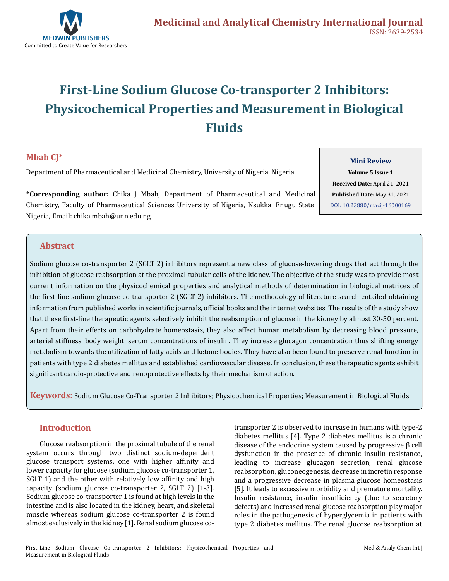

# **First-Line Sodium Glucose Co-transporter 2 Inhibitors: Physicochemical Properties and Measurement in Biological Fluids**

## **Mbah CJ\***

Department of Pharmaceutical and Medicinal Chemistry, University of Nigeria, Nigeria

**\*Corresponding author:** Chika J Mbah, Department of Pharmaceutical and Medicinal Chemistry, Faculty of Pharmaceutical Sciences University of Nigeria, Nsukka, Enugu State, Nigeria, Email: chika.mbah@unn.edu.ng

**Volume 5 Issue 1 Received Date:** April 21, 2021 **Published Date:** May 31, 2021 [DOI: 10.23880/macij-16000169](https://doi.org/10.23880/macij-16000169)

**Mini Review**

### **Abstract**

Sodium glucose co-transporter 2 (SGLT 2) inhibitors represent a new class of glucose-lowering drugs that act through the inhibition of glucose reabsorption at the proximal tubular cells of the kidney. The objective of the study was to provide most current information on the physicochemical properties and analytical methods of determination in biological matrices of the first-line sodium glucose co-transporter 2 (SGLT 2) inhibitors. The methodology of literature search entailed obtaining information from published works in scientific journals, official books and the internet websites. The results of the study show that these first-line therapeutic agents selectively inhibit the reabsorption of glucose in the kidney by almost 30-50 percent. Apart from their effects on carbohydrate homeostasis, they also affect human metabolism by decreasing blood pressure, arterial stiffness, body weight, serum concentrations of insulin. They increase glucagon concentration thus shifting energy metabolism towards the utilization of fatty acids and ketone bodies. They have also been found to preserve renal function in patients with type 2 diabetes mellitus and established cardiovascular disease. In conclusion, these therapeutic agents exhibit significant cardio-protective and renoprotective effects by their mechanism of action.

**Keywords:** Sodium Glucose Co-Transporter 2 Inhibitors; Physicochemical Properties; Measurement in Biological Fluids

#### **Introduction**

Glucose reabsorption in the proximal tubule of the renal system occurs through two distinct sodium-dependent glucose transport systems, one with higher affinity and lower capacity for glucose (sodium glucose co-transporter 1, SGLT 1) and the other with relatively low affinity and high capacity (sodium glucose co-transporter 2, SGLT 2) [1-3]. Sodium glucose co-transporter 1 is found at high levels in the intestine and is also located in the kidney, heart, and skeletal muscle whereas sodium glucose co-transporter 2 is found almost exclusively in the kidney [1]. Renal sodium glucose cotransporter 2 is observed to increase in humans with type-2 diabetes mellitus [4]. Type 2 diabetes mellitus is a chronic disease of the endocrine system caused by progressive β cell dysfunction in the presence of chronic insulin resistance, leading to increase glucagon secretion, renal glucose reabsorption, gluconeogenesis, decrease in incretin response and a progressive decrease in plasma glucose homeostasis [5]. It leads to excessive morbidity and premature mortality. Insulin resistance, insulin insufficiency (due to secretory defects) and increased renal glucose reabsorption play major roles in the pathogenesis of hyperglycemia in patients with type 2 diabetes mellitus. The renal glucose reabsorption at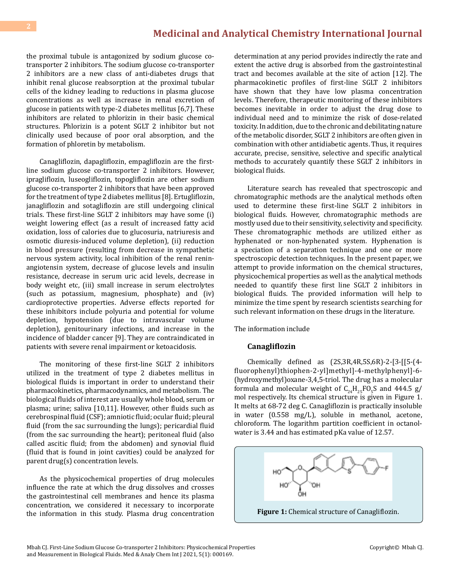the proximal tubule is antagonized by sodium glucose cotransporter 2 inhibitors. The sodium glucose co-transporter 2 inhibitors are a new class of anti-diabetes drugs that inhibit renal glucose reabsorption at the proximal tubular cells of the kidney leading to reductions in plasma glucose concentrations as well as increase in renal excretion of glucose in patients with type-2 diabetes mellitus [6,7]. These inhibitors are related to phlorizin in their basic chemical structures. Phlorizin is a potent SGLT 2 inhibitor but not clinically used because of poor oral absorption, and the formation of phloretin by metabolism.

Canagliflozin, dapagliflozin, empagliflozin are the firstline sodium glucose co-transporter 2 inhibitors. However, ipragliflozin, luseogliflozin, topogliflozin are other sodium glucose co-transporter 2 inhibitors that have been approved for the treatment of type 2 diabetes mellitus [8]. Ertugliflozin, janagliflozin and sotagliflozin are still undergoing clinical trials. These first-line SGLT 2 inhibitors may have some (i) weight lowering effect (as a result of increased fatty acid oxidation, loss of calories due to glucosuria, natriuresis and osmotic diuresis-induced volume depletion), (ii) reduction in blood pressure (resulting from decrease in sympathetic nervous system activity, local inhibition of the renal reninangiotensin system, decrease of glucose levels and insulin resistance, decrease in serum uric acid levels, decrease in body weight etc, (iii) small increase in serum electrolytes (such as potassium, magnesium, phosphate) and (iv) cardioprotective properties. Adverse effects reported for these inhibitors include polyuria and potential for volume depletion, hypotension (due to intravascular volume depletion), genitourinary infections, and increase in the incidence of bladder cancer [9]. They are contraindicated in patients with severe renal impairment or ketoacidosis.

The monitoring of these first-line SGLT 2 inhibitors utilized in the treatment of type 2 diabetes mellitus in biological fluids is important in order to understand their pharmacokinetics, pharmacodynamics, and metabolism. The biological fluids of interest are usually whole blood, serum or plasma; urine; saliva [10,11]. However, other fluids such as cerebrospinal fluid (CSF); amniotic fluid; ocular fluid; pleural fluid (from the sac surrounding the lungs); pericardial fluid (from the sac surrounding the heart); peritoneal fluid (also called ascitic fluid; from the abdomen) and synovial fluid (fluid that is found in joint cavities) could be analyzed for parent drug(s) concentration levels.

As the physicochemical properties of drug molecules influence the rate at which the drug dissolves and crosses the gastrointestinal cell membranes and hence its plasma concentration, we considered it necessary to incorporate the information in this study. Plasma drug concentration

determination at any period provides indirectly the rate and extent the active drug is absorbed from the gastrointestinal tract and becomes available at the site of action [12]. The pharmacokinetic profiles of first-line SGLT 2 inhibitors have shown that they have low plasma concentration levels. Therefore, therapeutic monitoring of these inhibitors becomes inevitable in order to adjust the drug dose to individual need and to minimize the risk of dose-related toxicity. In addition, due to the chronic and debilitating nature of the metabolic disorder, SGLT 2 inhibitors are often given in combination with other antidiabetic agents. Thus, it requires accurate, precise, sensitive, selective and specific analytical methods to accurately quantify these SGLT 2 inhibitors in biological fluids.

Literature search has revealed that spectroscopic and chromatographic methods are the analytical methods often used to determine these first-line SGLT 2 inhibitors in biological fluids. However, chromatographic methods are mostly used due to their sensitivity, selectivity and specificity. These chromatographic methods are utilized either as hyphenated or non-hyphenated system. Hyphenation is a speciation of a separation technique and one or more spectroscopic detection techniques. In the present paper, we attempt to provide information on the chemical structures, physicochemical properties as well as the analytical methods needed to quantify these first line SGLT 2 inhibitors in biological fluids. The provided information will help to minimize the time spent by research scientists searching for such relevant information on these drugs in the literature.

The information include

#### **Canagliflozin**

Chemically defined as (2S,3R,4R,5S,6R)-2-[3-[[5-(4 fluorophenyl)thiophen-2-yl]methyl]-4-methylphenyl]-6- (hydroxymethyl)oxane-3,4,5-triol. The drug has a molecular formula and molecular weight of  $C_{24}H_{25}F0_{5}S$  and 444.5 g/ mol respectively. Its chemical structure is given in Figure 1. It melts at 68-72 deg C. Canagliflozin is practically insoluble in water (0.558 mg/L), soluble in methanol, acetone, chloroform. The logarithm partition coefficient in octanolwater is 3.44 and has estimated pKa value of 12.57.

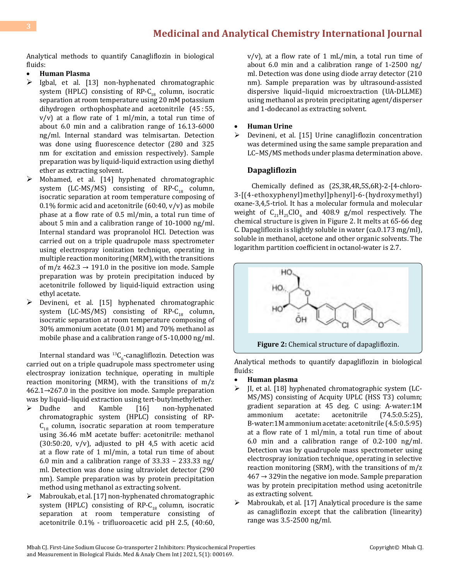Analytical methods to quantify Canagliflozin in biological fluids:

#### **Human Plasma**

- $\triangleright$  Igbal, et al. [13] non-hyphenated chromatographic system (HPLC) consisting of RP- $C_{18}$  column, isocratic separation at room temperature using 20 mM potassium dihydrogen orthophosphate and acetonitrile  $(45:55,$  $v/v$ ) at a flow rate of 1 ml/min, a total run time of about 6.0 min and a calibration range of 16.13-6000 ng/ml. Internal standard was telmisartan. Detection was done using fluorescence detector (280 and 325 nm for excitation and emission respectively). Sample preparation was by liquid-liquid extraction using diethyl ether as extracting solvent.
- $\triangleright$  Mohamed, et al. [14] hyphenated chromatographic system (LC-MS/MS) consisting of RP-C<sub>18</sub> column, isocratic separation at room temperature composing of 0.1% formic acid and acetonitrile  $(60:40, v/v)$  as mobile phase at a flow rate of 0.5 ml/min, a total run time of about 5 min and a calibration range of 10-1000 ng/ml. Internal standard was propranolol HCl. Detection was carried out on a triple quadrupole mass spectrometer using electrospray ionization technique, operating in multiple reaction monitoring (MRM), with the transitions of m/z  $462.3 \rightarrow 191.0$  in the positive ion mode. Sample preparation was by protein precipitation induced by acetonitrile followed by liquid-liquid extraction using ethyl acetate.
- Devineni, et al. [15] hyphenated chromatographic system (LC-MS/MS) consisting of RP- $C_{18}$  column, isocratic separation at room temperature composing of 30% ammonium acetate (0.01 M) and 70% methanol as mobile phase and a calibration range of 5-10,000 ng/ml.

Internal standard was  ${}^{13}C_{6}$ -canagliflozin. Detection was carried out on a triple quadrupole mass spectrometer using electrospray ionization technique, operating in multiple reaction monitoring (MRM), with the transitions of m/z 462.1→267.0 in the positive ion mode. Sample preparation was by liquid–liquid extraction using tert-butylmethylether.<br>  $\geq$  Dudhe and Kamble [16] non-hyphenated

- non-hyphenated chromatographic system (HPLC) consisting of RP- $C_{18}$  column, isocratic separation at room temperature using 36.46 mM acetate buffer: acetonitrile: methanol  $(30:50:20, v/v)$ , adjusted to pH 4,5 with acetic acid at a flow rate of 1 ml/min, a total run time of about 6.0 min and a calibration range of 33.33 – 233.33 ng/ ml. Detection was done using ultraviolet detector (290 nm). Sample preparation was by protein precipitation method using methanol as extracting solvent.
- $\triangleright$  Mabroukab, et al. [17] non-hyphenated chromatographic system (HPLC) consisting of RP- $C_{18}$  column, isocratic separation at room temperature consisting of acetonitrile 0.1% - trifluoroacetic acid pH 2.5, (40:60,

 $v/v$ ), at a flow rate of 1 mL/min, a total run time of about 6.0 min and a calibration range of 1-2500 ng/ ml. Detection was done using diode array detector (210 nm). Sample preparation was by ultrasound-assisted dispersive liquid–liquid microextraction (UA-DLLME) using methanol as protein precipitating agent/disperser and 1-dodecanol as extracting solvent.

#### • **Human Urine**

 $\triangleright$  Devineni, et al. [15] Urine canagliflozin concentration was determined using the same sample preparation and LC–MS/MS methods under plasma determination above.

#### **Dapagliflozin**

 Chemically defined as (2S,3R,4R,5S,6R)-2-[4-chloro-3-[(4-ethoxyphenyl)methyl]phenyl]-6-(hydroxymethyl) oxane-3,4,5-triol. It has a molecular formula and molecular weight of  $C_{21}H_{25}ClO_6$  and 408.9 g/mol respectively. The chemical structure is given in Figure 2. It melts at 65-66 deg C. Dapagliflozin is slightly soluble in water (ca.0.173 mg/ml), soluble in methanol, acetone and other organic solvents. The logarithm partition coefficient in octanol-water is 2.7.



Analytical methods to quantify dapagliflozin in biological fluids:

- • **Human plasma**
- $\triangleright$  II, et al. [18] hyphenated chromatographic system (LC-MS/MS) consisting of Acquity UPLC (HSS T3) column; gradient separation at 45 deg. C using: A-water:1M  $(74.5:0.5:25)$ B-water:1M ammonium acetate: acetonitrile (4.5:0.5:95) at a flow rate of 1 ml/min, a total run time of about 6.0 min and a calibration range of 0.2-100 ng/ml. Detection was by quadrupole mass spectrometer using electrospray ionization technique, operating in selective reaction monitoring (SRM), with the transitions of m/z  $467 \rightarrow 329$  in the negative ion mode. Sample preparation was by protein precipitation method using acetonitrile as extracting solvent.
- $\triangleright$  Mabroukab, et al. [17] Analytical procedure is the same as canagliflozin except that the calibration (linearity) range was 3.5-2500 ng/ml.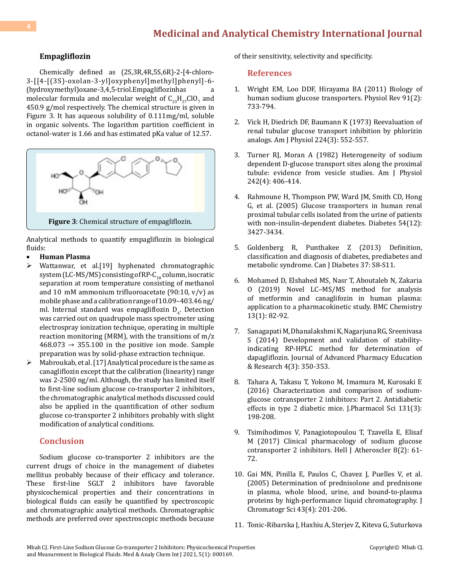#### **Empagliflozin**

Chemically defined as (2S,3R,4R,5S,6R)-2-[4-chloro-3-[[4-[(3S)-oxolan-3-yl]oxyphenyl]methyl]phenyl]-6- (hydroxymethyl)oxane-3,4,5-triol.Empagliflozinhas a molecular formula and molecular weight of  $C_{23}H_{27}CD_7$  and 450.9 g/mol respectively. The chemical structure is given in Figure 3. It has aqueous solubility of 0.111mg/ml, soluble in organic solvents. The logarithm partition coefficient in octanol-water is 1.66 and has estimated pKa value of 12.57.



Analytical methods to quantify empagliflozin in biological fluids:

- **Human Plasma**
- Wattanwar, et al.[19] hyphenated chromatographic system (LC-MS/MS) consisting of RP-C<sub>18</sub> column, isocratic separation at room temperature consisting of methanol and 10  mM ammonium trifluoroacetate (90:10, v/v) as mobile phase and a calibration range of 10.09–403.46 ng/ ml. Internal standard was empagliflozin  $D_4$ . Detection was carried out on quadrupole mass spectrometer using electrospray ionization technique, operating in multiple reaction monitoring (MRM), with the transitions of m/z  $468.073 \rightarrow 355.100$  in the positive ion mode. Sample preparation was by solid-phase extraction technique.
- $\triangleright$  Mabroukab, et al. [17] Analytical procedure is the same as canagliflozin except that the calibration (linearity) range was 2-2500 ng/ml. Although, the study has limited itself to first-line sodium glucose co-transporter 2 inhibitors, the chromatographic analytical methods discussed could also be applied in the quantification of other sodium glucose co-transporter 2 inhibitors probably with slight modification of analytical conditions.

#### **Conclusion**

Sodium glucose co-transporter 2 inhibitors are the current drugs of choice in the management of diabetes mellitus probably because of their efficacy and tolerance. These first-line SGLT 2 inhibitors have favorable physicochemical properties and their concentrations in biological fluids can easily be quantified by spectroscopic and chromatographic analytical methods. Chromatographic methods are preferred over spectroscopic methods because of their sensitivity, selectivity and specificity.

#### **References**

- 1. [Wright EM, Loo DDF, Hirayama BA \(2011\) Biology of](https://pubmed.ncbi.nlm.nih.gov/21527736/)  [human sodium glucose transporters. Physiol Rev 91\(2\):](https://pubmed.ncbi.nlm.nih.gov/21527736/) [733-794.](https://pubmed.ncbi.nlm.nih.gov/21527736/)
- 2. [Vick H, Diedrich DF, Baumann K \(1973\) Reevaluation of](https://pubmed.ncbi.nlm.nih.gov/4691268/) [renal tubular glucose transport inhibition by phlorizin](https://pubmed.ncbi.nlm.nih.gov/4691268/) [analogs. Am J Physiol 224\(3\): 552-557.](https://pubmed.ncbi.nlm.nih.gov/4691268/)
- 3. [Turner RJ, Moran A \(1982\) Heterogeneity of sodium](https://pubmed.ncbi.nlm.nih.gov/6278960/) [dependent D-glucose transport sites along the proximal](https://pubmed.ncbi.nlm.nih.gov/6278960/)  [tubule: evidence from vesicle studies. Am J Physiol](https://pubmed.ncbi.nlm.nih.gov/6278960/) [242\(4\): 406-414.](https://pubmed.ncbi.nlm.nih.gov/6278960/)
- 4. [Rahmoune H, Thompson PW, Ward JM, Smith CD, Hong](https://pubmed.ncbi.nlm.nih.gov/16306358/)  [G, et al. \(2005\) Glucose transporters in human renal](https://pubmed.ncbi.nlm.nih.gov/16306358/)  [proximal tubular cells isolated from the urine of patients](https://pubmed.ncbi.nlm.nih.gov/16306358/)  [with non-insulin-dependent diabetes. Diabetes 54\(12\):](https://pubmed.ncbi.nlm.nih.gov/16306358/) [3427-3434.](https://pubmed.ncbi.nlm.nih.gov/16306358/)
- 5. [Goldenberg R, Punthakee Z \(2013\) Definition,](https://pubmed.ncbi.nlm.nih.gov/29650080/) [classification and diagnosis of diabetes, prediabetes and](https://pubmed.ncbi.nlm.nih.gov/29650080/)  [metabolic syndrome. Can J Diabetes 37: S8-S11.](https://pubmed.ncbi.nlm.nih.gov/29650080/)
- 6. [Mohamed D, Elshahed MS, Nasr T, Aboutaleb N, Zakaria](https://pubmed.ncbi.nlm.nih.gov/31384829/) [O \(2019\) Novel LC–MS/MS method for](https://pubmed.ncbi.nlm.nih.gov/31384829/) analysis of metformin and canaglifozin in [human plasma:](https://pubmed.ncbi.nlm.nih.gov/31384829/)  application to a [pharmacokinetic study. BMC Chemistry](https://pubmed.ncbi.nlm.nih.gov/31384829/) [13\(1\): 82-92.](https://pubmed.ncbi.nlm.nih.gov/31384829/)
- 7. [Sanagapati M, Dhanalakshmi K, Nagarjuna RG, Sreenivasa](https://japer.in/storage/models/article/MY2rUZukOJMElDBjaOW2ICimjPr743gNzYaBraVOqV8y5Hgd9gbuyW6wc2p9/development-and-validation-of-stability-indicating-rp-hplc-method-for-determination-of-dapaglifloz.pdf) [S \(2014\) Development and validation of stability](https://japer.in/storage/models/article/MY2rUZukOJMElDBjaOW2ICimjPr743gNzYaBraVOqV8y5Hgd9gbuyW6wc2p9/development-and-validation-of-stability-indicating-rp-hplc-method-for-determination-of-dapaglifloz.pdf)[indicating RP-HPLC method for determination of](https://japer.in/storage/models/article/MY2rUZukOJMElDBjaOW2ICimjPr743gNzYaBraVOqV8y5Hgd9gbuyW6wc2p9/development-and-validation-of-stability-indicating-rp-hplc-method-for-determination-of-dapaglifloz.pdf) [dapagliflozin. Journal of Advanced Pharmacy Education](https://japer.in/storage/models/article/MY2rUZukOJMElDBjaOW2ICimjPr743gNzYaBraVOqV8y5Hgd9gbuyW6wc2p9/development-and-validation-of-stability-indicating-rp-hplc-method-for-determination-of-dapaglifloz.pdf)  [& Research 4\(3\): 350-353.](https://japer.in/storage/models/article/MY2rUZukOJMElDBjaOW2ICimjPr743gNzYaBraVOqV8y5Hgd9gbuyW6wc2p9/development-and-validation-of-stability-indicating-rp-hplc-method-for-determination-of-dapaglifloz.pdf)
- 8. [Tahara A, Takasu T, Yokono M, Imamura M, Kurosaki E](https://www.sciencedirect.com/science/article/pii/S1347861316300743)  [\(2016\) Characterization and comparison of sodium](https://www.sciencedirect.com/science/article/pii/S1347861316300743)[glucose cotransporter 2 inhibitors: Part 2. Antidiabetic](https://www.sciencedirect.com/science/article/pii/S1347861316300743) effects in type 2 [diabetic mice. J.Pharmacol Sci 131\(3\):](https://www.sciencedirect.com/science/article/pii/S1347861316300743) [198-208.](https://www.sciencedirect.com/science/article/pii/S1347861316300743)
- 9. [Tsimihodimos V, Panagiotopoulou T, Tzavella E, Elisaf](https://www.japt.gr/wp-content/PDF/2017/115-417-1-PB.pdf)  [M \(2017\) Clinical pharmacology of sodium glucose](https://www.japt.gr/wp-content/PDF/2017/115-417-1-PB.pdf) [cotransporter 2 inhibitors. Hell J Atheroscler 8\(2\): 61-](https://www.japt.gr/wp-content/PDF/2017/115-417-1-PB.pdf) [72.](https://www.japt.gr/wp-content/PDF/2017/115-417-1-PB.pdf)
- 10. [Gai MN, Pinilla E, Paulos C, Chavez J, Puelles V, et al.](https://pubmed.ncbi.nlm.nih.gov/15975236/)  [\(2005\) Determination of prednisolone and prednisone](https://pubmed.ncbi.nlm.nih.gov/15975236/) [in plasma, whole blood, urine, and bound-to-plasma](https://pubmed.ncbi.nlm.nih.gov/15975236/)  [proteins by high-performance liquid chromatography. J](https://pubmed.ncbi.nlm.nih.gov/15975236/) [Chromatogr Sci 43\(4\): 201-206.](https://pubmed.ncbi.nlm.nih.gov/15975236/)
- 11. [Tonic-Ribarska J, Haxhiu A, Sterjev Z, Kiteva G, Suturkova](https://pubmed.ncbi.nlm.nih.gov/22750819)